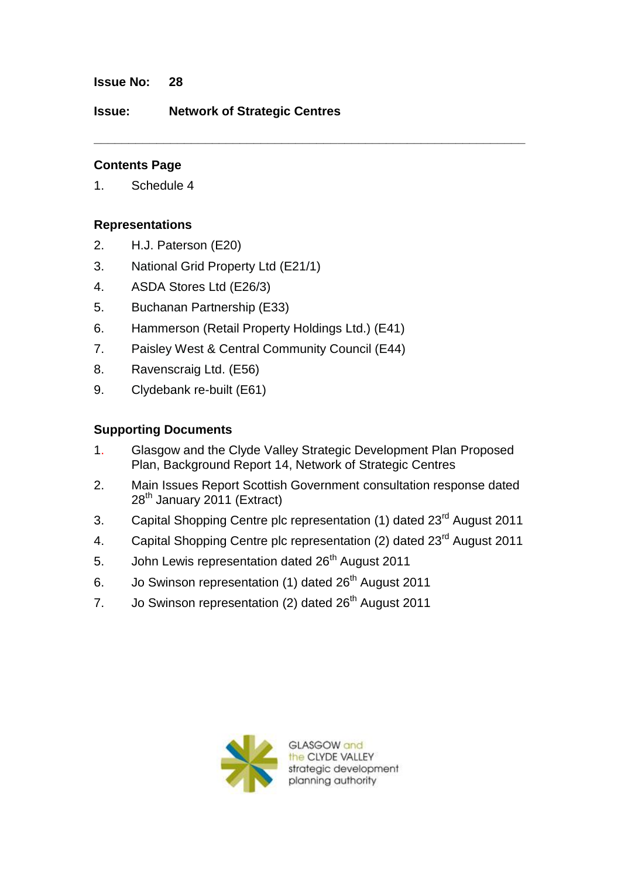#### **Issue No: 28**

**Issue: Network of Strategic Centres**

# **Contents Page**

1. Schedule 4

## **Representations**

- 2. H.J. Paterson (E20)
- 3. National Grid Property Ltd (E21/1)
- 4. ASDA Stores Ltd (E26/3)
- 5. Buchanan Partnership (E33)
- 6. Hammerson (Retail Property Holdings Ltd.) (E41)
- 7. Paisley West & Central Community Council (E44)
- 8. Ravenscraig Ltd. (E56)
- 9. Clydebank re-built (E61)

# **Supporting Documents**

1. Glasgow and the Clyde Valley Strategic Development Plan Proposed Plan, Background Report 14, Network of Strategic Centres

**\_\_\_\_\_\_\_\_\_\_\_\_\_\_\_\_\_\_\_\_\_\_\_\_\_\_\_\_\_\_\_\_\_\_\_\_\_\_\_\_\_\_\_\_\_\_\_\_\_\_\_\_\_\_\_\_\_\_\_\_\_\_**

- 2. Main Issues Report Scottish Government consultation response dated 28<sup>th</sup> January 2011 (Extract)
- 3. Capital Shopping Centre plc representation (1) dated 23<sup>rd</sup> August 2011
- 4. Capital Shopping Centre plc representation (2) dated 23<sup>rd</sup> August 2011
- 5. John Lewis representation dated 26<sup>th</sup> August 2011
- 6. Jo Swinson representation (1) dated 26<sup>th</sup> August 2011
- 7. Jo Swinson representation (2) dated 26<sup>th</sup> August 2011



GLASGOW and **CLYDE VALLEY** strategic development planning authority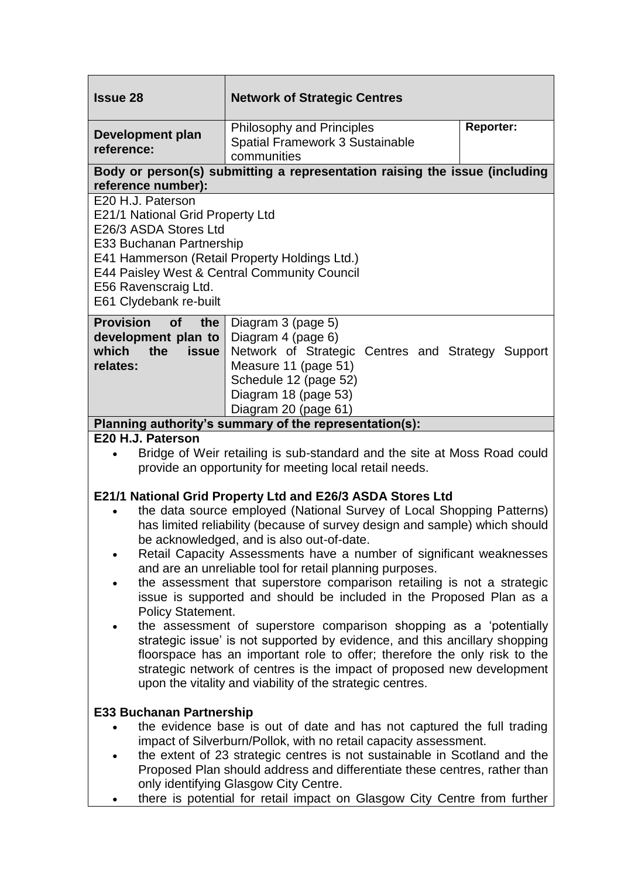| <b>Issue 28</b>                                                                                                                                                                                                                                                                                                                                                                                                                                                                                                                                                                                                                                                                                                                                                                                                                                                                                                                                        | <b>Network of Strategic Centres</b>                                                                                                                                                            |                  |
|--------------------------------------------------------------------------------------------------------------------------------------------------------------------------------------------------------------------------------------------------------------------------------------------------------------------------------------------------------------------------------------------------------------------------------------------------------------------------------------------------------------------------------------------------------------------------------------------------------------------------------------------------------------------------------------------------------------------------------------------------------------------------------------------------------------------------------------------------------------------------------------------------------------------------------------------------------|------------------------------------------------------------------------------------------------------------------------------------------------------------------------------------------------|------------------|
| Development plan<br>reference:                                                                                                                                                                                                                                                                                                                                                                                                                                                                                                                                                                                                                                                                                                                                                                                                                                                                                                                         | Philosophy and Principles<br><b>Spatial Framework 3 Sustainable</b><br>communities                                                                                                             | <b>Reporter:</b> |
| Body or person(s) submitting a representation raising the issue (including<br>reference number):                                                                                                                                                                                                                                                                                                                                                                                                                                                                                                                                                                                                                                                                                                                                                                                                                                                       |                                                                                                                                                                                                |                  |
| E20 H.J. Paterson<br>E21/1 National Grid Property Ltd<br>E26/3 ASDA Stores Ltd<br>E33 Buchanan Partnership<br>E41 Hammerson (Retail Property Holdings Ltd.)<br>E44 Paisley West & Central Community Council<br>E56 Ravenscraig Ltd.<br>E61 Clydebank re-built                                                                                                                                                                                                                                                                                                                                                                                                                                                                                                                                                                                                                                                                                          |                                                                                                                                                                                                |                  |
| <b>Provision</b><br><b>of</b><br>the<br>development plan to<br>which<br>the<br><b>issue</b><br>relates:                                                                                                                                                                                                                                                                                                                                                                                                                                                                                                                                                                                                                                                                                                                                                                                                                                                | Diagram 3 (page 5)<br>Diagram 4 (page 6)<br>Network of Strategic Centres and Strategy Support<br>Measure 11 (page 51)<br>Schedule 12 (page 52)<br>Diagram 18 (page 53)<br>Diagram 20 (page 61) |                  |
| Planning authority's summary of the representation(s):                                                                                                                                                                                                                                                                                                                                                                                                                                                                                                                                                                                                                                                                                                                                                                                                                                                                                                 |                                                                                                                                                                                                |                  |
| E20 H.J. Paterson<br>Bridge of Weir retailing is sub-standard and the site at Moss Road could                                                                                                                                                                                                                                                                                                                                                                                                                                                                                                                                                                                                                                                                                                                                                                                                                                                          |                                                                                                                                                                                                |                  |
| provide an opportunity for meeting local retail needs.                                                                                                                                                                                                                                                                                                                                                                                                                                                                                                                                                                                                                                                                                                                                                                                                                                                                                                 |                                                                                                                                                                                                |                  |
| E21/1 National Grid Property Ltd and E26/3 ASDA Stores Ltd<br>the data source employed (National Survey of Local Shopping Patterns)<br>has limited reliability (because of survey design and sample) which should<br>be acknowledged, and is also out-of-date.<br>Retail Capacity Assessments have a number of significant weaknesses<br>and are an unreliable tool for retail planning purposes.<br>the assessment that superstore comparison retailing is not a strategic<br>issue is supported and should be included in the Proposed Plan as a<br><b>Policy Statement.</b><br>the assessment of superstore comparison shopping as a 'potentially<br>strategic issue' is not supported by evidence, and this ancillary shopping<br>floorspace has an important role to offer; therefore the only risk to the<br>strategic network of centres is the impact of proposed new development<br>upon the vitality and viability of the strategic centres. |                                                                                                                                                                                                |                  |
| <b>E33 Buchanan Partnership</b><br>the evidence base is out of date and has not captured the full trading                                                                                                                                                                                                                                                                                                                                                                                                                                                                                                                                                                                                                                                                                                                                                                                                                                              |                                                                                                                                                                                                |                  |
| impact of Silverburn/Pollok, with no retail capacity assessment.<br>the extent of 23 strategic centres is not sustainable in Scotland and the<br>Proposed Plan should address and differentiate these centres, rather than<br>only identifying Glasgow City Centre.<br>there is potential for retail impact on Glasgow City Centre from further                                                                                                                                                                                                                                                                                                                                                                                                                                                                                                                                                                                                        |                                                                                                                                                                                                |                  |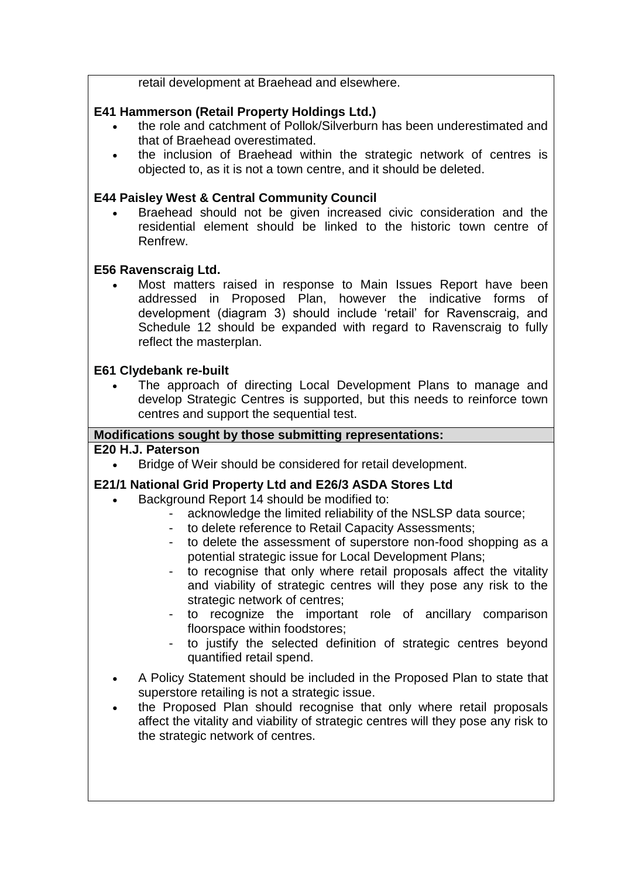retail development at Braehead and elsewhere.

# **E41 Hammerson (Retail Property Holdings Ltd.)**

- the role and catchment of Pollok/Silverburn has been underestimated and that of Braehead overestimated.
- the inclusion of Braehead within the strategic network of centres is objected to, as it is not a town centre, and it should be deleted.

## **E44 Paisley West & Central Community Council**

 Braehead should not be given increased civic consideration and the residential element should be linked to the historic town centre of Renfrew.

## **E56 Ravenscraig Ltd.**

 Most matters raised in response to Main Issues Report have been addressed in Proposed Plan, however the indicative forms of development (diagram 3) should include "retail" for Ravenscraig, and Schedule 12 should be expanded with regard to Ravenscraig to fully reflect the masterplan.

### **E61 Clydebank re-built**

 The approach of directing Local Development Plans to manage and develop Strategic Centres is supported, but this needs to reinforce town centres and support the sequential test.

### **Modifications sought by those submitting representations:**

## **E20 H.J. Paterson**

Bridge of Weir should be considered for retail development.

### **E21/1 National Grid Property Ltd and E26/3 ASDA Stores Ltd**

- Background Report 14 should be modified to:
	- acknowledge the limited reliability of the NSLSP data source;
	- to delete reference to Retail Capacity Assessments;
	- to delete the assessment of superstore non-food shopping as a potential strategic issue for Local Development Plans;
	- to recognise that only where retail proposals affect the vitality and viability of strategic centres will they pose any risk to the strategic network of centres;
	- to recognize the important role of ancillary comparison floorspace within foodstores;
	- to justify the selected definition of strategic centres beyond quantified retail spend.
- A Policy Statement should be included in the Proposed Plan to state that superstore retailing is not a strategic issue.
- the Proposed Plan should recognise that only where retail proposals affect the vitality and viability of strategic centres will they pose any risk to the strategic network of centres.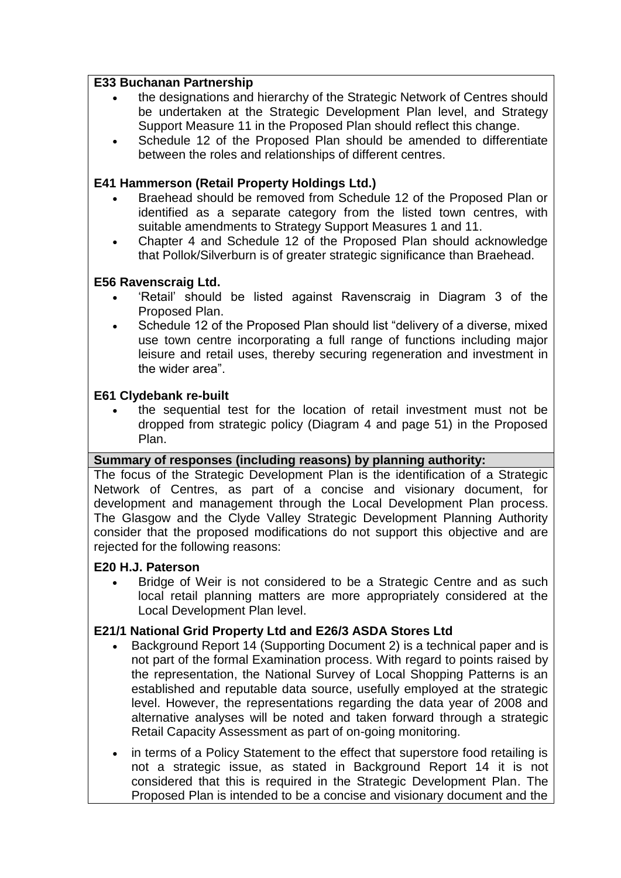## **E33 Buchanan Partnership**

- the designations and hierarchy of the Strategic Network of Centres should be undertaken at the Strategic Development Plan level, and Strategy Support Measure 11 in the Proposed Plan should reflect this change.
- Schedule 12 of the Proposed Plan should be amended to differentiate between the roles and relationships of different centres.

# **E41 Hammerson (Retail Property Holdings Ltd.)**

- Braehead should be removed from Schedule 12 of the Proposed Plan or identified as a separate category from the listed town centres, with suitable amendments to Strategy Support Measures 1 and 11.
- Chapter 4 and Schedule 12 of the Proposed Plan should acknowledge that Pollok/Silverburn is of greater strategic significance than Braehead.

# **E56 Ravenscraig Ltd.**

- "Retail" should be listed against Ravenscraig in Diagram 3 of the Proposed Plan.
- Schedule 12 of the Proposed Plan should list "delivery of a diverse, mixed use town centre incorporating a full range of functions including major leisure and retail uses, thereby securing regeneration and investment in the wider area".

## **E61 Clydebank re-built**

 the sequential test for the location of retail investment must not be dropped from strategic policy (Diagram 4 and page 51) in the Proposed Plan.

# **Summary of responses (including reasons) by planning authority:**

The focus of the Strategic Development Plan is the identification of a Strategic Network of Centres, as part of a concise and visionary document, for development and management through the Local Development Plan process. The Glasgow and the Clyde Valley Strategic Development Planning Authority consider that the proposed modifications do not support this objective and are rejected for the following reasons:

### **E20 H.J. Paterson**

 Bridge of Weir is not considered to be a Strategic Centre and as such local retail planning matters are more appropriately considered at the Local Development Plan level.

# **E21/1 National Grid Property Ltd and E26/3 ASDA Stores Ltd**

- Background Report 14 (Supporting Document 2) is a technical paper and is not part of the formal Examination process. With regard to points raised by the representation, the National Survey of Local Shopping Patterns is an established and reputable data source, usefully employed at the strategic level. However, the representations regarding the data year of 2008 and alternative analyses will be noted and taken forward through a strategic Retail Capacity Assessment as part of on-going monitoring.
- in terms of a Policy Statement to the effect that superstore food retailing is not a strategic issue, as stated in Background Report 14 it is not considered that this is required in the Strategic Development Plan. The Proposed Plan is intended to be a concise and visionary document and the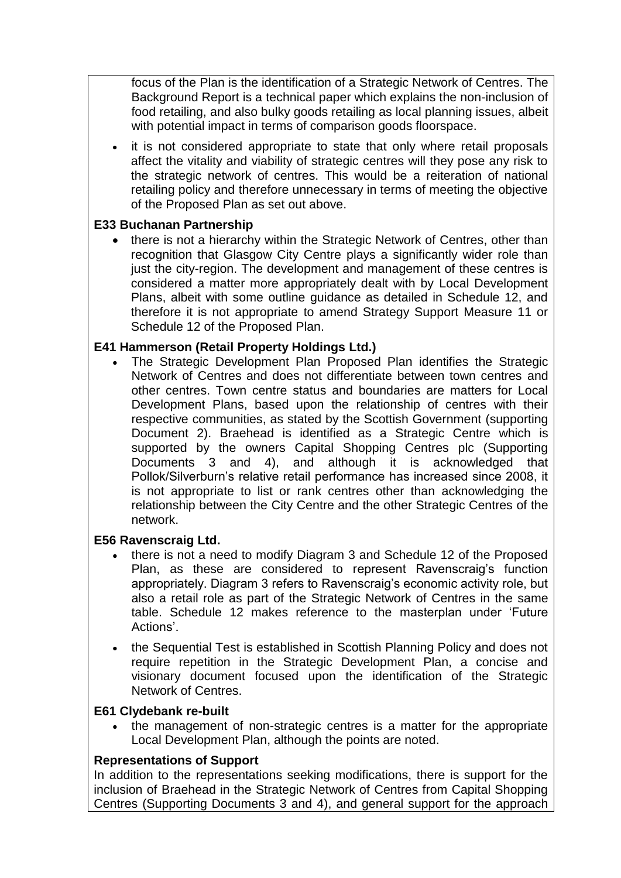focus of the Plan is the identification of a Strategic Network of Centres. The Background Report is a technical paper which explains the non-inclusion of food retailing, and also bulky goods retailing as local planning issues, albeit with potential impact in terms of comparison goods floorspace.

• it is not considered appropriate to state that only where retail proposals affect the vitality and viability of strategic centres will they pose any risk to the strategic network of centres. This would be a reiteration of national retailing policy and therefore unnecessary in terms of meeting the objective of the Proposed Plan as set out above.

## **E33 Buchanan Partnership**

• there is not a hierarchy within the Strategic Network of Centres, other than recognition that Glasgow City Centre plays a significantly wider role than just the city-region. The development and management of these centres is considered a matter more appropriately dealt with by Local Development Plans, albeit with some outline guidance as detailed in Schedule 12, and therefore it is not appropriate to amend Strategy Support Measure 11 or Schedule 12 of the Proposed Plan.

## **E41 Hammerson (Retail Property Holdings Ltd.)**

 The Strategic Development Plan Proposed Plan identifies the Strategic Network of Centres and does not differentiate between town centres and other centres. Town centre status and boundaries are matters for Local Development Plans, based upon the relationship of centres with their respective communities, as stated by the Scottish Government (supporting Document 2). Braehead is identified as a Strategic Centre which is supported by the owners Capital Shopping Centres plc (Supporting Documents 3 and 4), and although it is acknowledged that Pollok/Silverburn"s relative retail performance has increased since 2008, it is not appropriate to list or rank centres other than acknowledging the relationship between the City Centre and the other Strategic Centres of the network.

### **E56 Ravenscraig Ltd.**

- there is not a need to modify Diagram 3 and Schedule 12 of the Proposed Plan, as these are considered to represent Ravenscraig's function appropriately. Diagram 3 refers to Ravenscraig's economic activity role, but also a retail role as part of the Strategic Network of Centres in the same table. Schedule 12 makes reference to the masterplan under "Future Actions".
- the Sequential Test is established in Scottish Planning Policy and does not require repetition in the Strategic Development Plan, a concise and visionary document focused upon the identification of the Strategic Network of Centres.

### **E61 Clydebank re-built**

 the management of non-strategic centres is a matter for the appropriate Local Development Plan, although the points are noted.

### **Representations of Support**

In addition to the representations seeking modifications, there is support for the inclusion of Braehead in the Strategic Network of Centres from Capital Shopping Centres (Supporting Documents 3 and 4), and general support for the approach